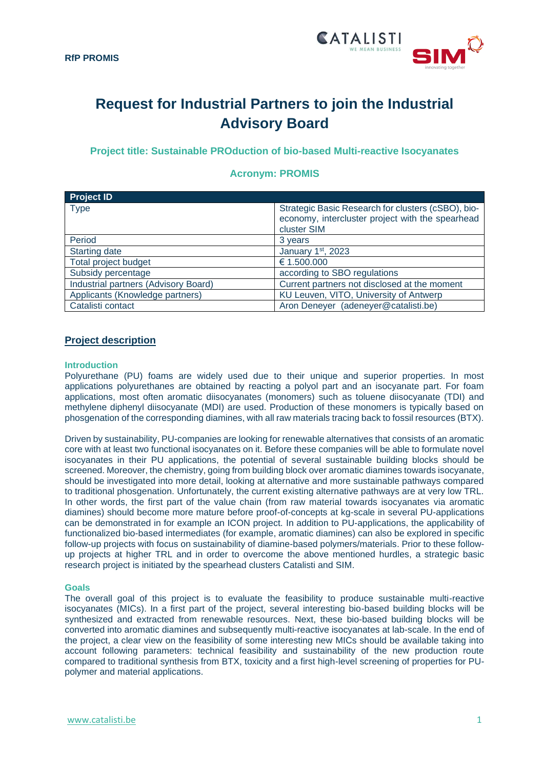

# **Request for Industrial Partners to join the Industrial Advisory Board**

**Project title: Sustainable PROduction of bio-based Multi-reactive Isocyanates**

| <b>Project ID</b>                    |                                                                                                                       |
|--------------------------------------|-----------------------------------------------------------------------------------------------------------------------|
| <b>Type</b>                          | Strategic Basic Research for clusters (cSBO), bio-<br>economy, intercluster project with the spearhead<br>cluster SIM |
| Period                               | 3 years                                                                                                               |
| <b>Starting date</b>                 | January 1st, 2023                                                                                                     |
| Total project budget                 | € 1.500.000                                                                                                           |
| Subsidy percentage                   | according to SBO regulations                                                                                          |
| Industrial partners (Advisory Board) | Current partners not disclosed at the moment                                                                          |
| Applicants (Knowledge partners)      | KU Leuven, VITO, University of Antwerp                                                                                |
| Catalisti contact                    | Aron Deneyer (adeneyer@catalisti.be)                                                                                  |

# **Acronym: PROMIS**

# **Project description**

### **Introduction**

Polyurethane (PU) foams are widely used due to their unique and superior properties. In most applications polyurethanes are obtained by reacting a polyol part and an isocyanate part. For foam applications, most often aromatic diisocyanates (monomers) such as toluene diisocyanate (TDI) and methylene diphenyl diisocyanate (MDI) are used. Production of these monomers is typically based on phosgenation of the corresponding diamines, with all raw materials tracing back to fossil resources (BTX).

Driven by sustainability, PU-companies are looking for renewable alternatives that consists of an aromatic core with at least two functional isocyanates on it. Before these companies will be able to formulate novel isocyanates in their PU applications, the potential of several sustainable building blocks should be screened. Moreover, the chemistry, going from building block over aromatic diamines towards isocyanate, should be investigated into more detail, looking at alternative and more sustainable pathways compared to traditional phosgenation. Unfortunately, the current existing alternative pathways are at very low TRL. In other words, the first part of the value chain (from raw material towards isocyanates via aromatic diamines) should become more mature before proof-of-concepts at kg-scale in several PU-applications can be demonstrated in for example an ICON project. In addition to PU-applications, the applicability of functionalized bio-based intermediates (for example, aromatic diamines) can also be explored in specific follow-up projects with focus on sustainability of diamine-based polymers/materials. Prior to these followup projects at higher TRL and in order to overcome the above mentioned hurdles, a strategic basic research project is initiated by the spearhead clusters Catalisti and SIM.

#### **Goals**

The overall goal of this project is to evaluate the feasibility to produce sustainable multi-reactive isocyanates (MICs). In a first part of the project, several interesting bio-based building blocks will be synthesized and extracted from renewable resources. Next, these bio-based building blocks will be converted into aromatic diamines and subsequently multi-reactive isocyanates at lab-scale. In the end of the project, a clear view on the feasibility of some interesting new MICs should be available taking into account following parameters: technical feasibility and sustainability of the new production route compared to traditional synthesis from BTX, toxicity and a first high-level screening of properties for PUpolymer and material applications.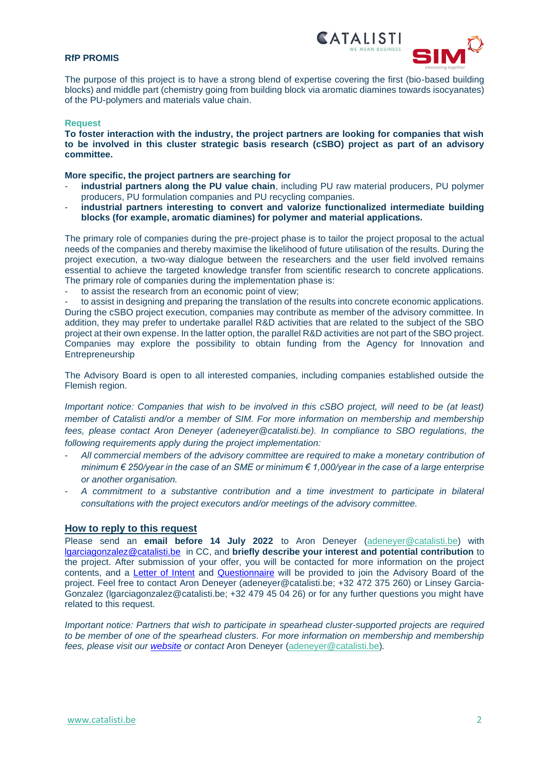## **RfP PROMIS**



The purpose of this project is to have a strong blend of expertise covering the first (bio-based building blocks) and middle part (chemistry going from building block via aromatic diamines towards isocyanates) of the PU-polymers and materials value chain.

#### **Request**

**To foster interaction with the industry, the project partners are looking for companies that wish to be involved in this cluster strategic basis research (cSBO) project as part of an advisory committee.**

#### **More specific, the project partners are searching for**

- industrial partners along the PU value chain, including PU raw material producers, PU polymer producers, PU formulation companies and PU recycling companies.
- **industrial partners interesting to convert and valorize functionalized intermediate building blocks (for example, aromatic diamines) for polymer and material applications.**

The primary role of companies during the pre-project phase is to tailor the project proposal to the actual needs of the companies and thereby maximise the likelihood of future utilisation of the results. During the project execution, a two-way dialogue between the researchers and the user field involved remains essential to achieve the targeted knowledge transfer from scientific research to concrete applications. The primary role of companies during the implementation phase is:

to assist the research from an economic point of view;

to assist in designing and preparing the translation of the results into concrete economic applications. During the cSBO project execution, companies may contribute as member of the advisory committee. In addition, they may prefer to undertake parallel R&D activities that are related to the subject of the SBO project at their own expense. In the latter option, the parallel R&D activities are not part of the SBO project. Companies may explore the possibility to obtain funding from the Agency for Innovation and Entrepreneurship

The Advisory Board is open to all interested companies, including companies established outside the Flemish region.

*Important notice: Companies that wish to be involved in this cSBO project, will need to be (at least) member of Catalisti and/or a member of SIM. For more information on membership and membership fees, please contact Aron Deneyer [\(adeneyer@catalisti.be\)](mailto:adeneyer@catalisti.be). In compliance to SBO regulations, the following requirements apply during the project implementation:*

- *All commercial members of the advisory committee are required to make a monetary contribution of minimum € 250/year in the case of an SME or minimum € 1,000/year in the case of a large enterprise or another organisation.*
- *A commitment to a substantive contribution and a time investment to participate in bilateral consultations with the project executors and/or meetings of the advisory committee.*

#### **How to reply to this request**

Please send an **email before 14 July 2022** to Aron Deneyer (adeneyer@catalisti.be) with [lgarciagonzalez@catalisti.be](mailto:lgarciagonzalez@catalisti.be) in CC, and **briefly describe your interest and potential contribution** to the project. After submission of your offer, you will be contacted for more information on the project contents, and a [Letter of Intent](https://catalisti.be/wp-content/uploads/2020/08/PROMIS_Letter-of-Intent-1.docx) and [Questionnaire](https://catalisti.be/wp-content/uploads/2020/08/PROMIS_Questionnaire_Valorisation-1.docx) will be provided to join the Advisory Board of the project. Feel free to contact Aron Deneyer (adeneyer@catalisti.be; +32 472 375 260) or Linsey Garcia-Gonzalez (lgarciagonzalez@catalisti.be; +32 479 45 04 26) or for any further questions you might have related to this request.

*Important notice: Partners that wish to participate in spearhead cluster-supported projects are required to be member of one of the spearhead clusters. For more information on membership and membership fees, please visit our [website](mailto:website) or contact* Aron Deneyer (adeneyer@catalisti.be)*.*